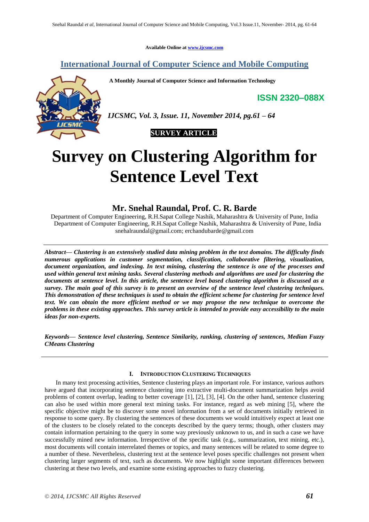**Available Online at [www.ijcsmc.com](http://www.ijcsmc.com/)**

# **International Journal of Computer Science and Mobile Computing**

**A Monthly Journal of Computer Science and Information Technology**

**ISSN 2320–088X**



*IJCSMC, Vol. 3, Issue. 11, November 2014, pg.61 – 64*



# **Survey on Clustering Algorithm for Sentence Level Text**

# **Mr. Snehal Raundal, Prof. C. R. Barde**

Department of Computer Engineering, R.H.Sapat College Nashik, Maharashtra & University of Pune, India Department of Computer Engineering, R.H.Sapat College Nashik, Maharashtra & University of Pune, India [snehalraundal@gmail.com;](mailto:snehalraundal@gmail.com;%20e) erchandubarde@gmail.com

*Abstract— Clustering is an extensively studied data mining problem in the text domains. The difficulty finds numerous applications in customer segmentation, classification, collaborative filtering, visualization, document organization, and indexing. In text mining, clustering the sentence is one of the processes and used within general text mining tasks. Several clustering methods and algorithms are used for clustering the documents at sentence level. In this article, the sentence level based clustering algorithm is discussed as a survey. The main goal of this survey is to present an overview of the sentence level clustering techniques. This demonstration of these techniques is used to obtain the efficient scheme for clustering for sentence level text. We can obtain the more efficient method or we may propose the new technique to overcome the problems in these existing approaches. This survey article is intended to provide easy accessibility to the main ideas for non-experts.*

*Keywords— Sentence level clustering, Sentence Similarity, ranking, clustering of sentences, Median Fuzzy CMeans Clustering*

# **I. INTRODUCTION CLUSTERING TECHNIQUES**

In many text processing activities, Sentence clustering plays an important role. For instance, various authors have argued that incorporating sentence clustering into extractive multi-document summarization helps avoid problems of content overlap, leading to better coverage [1], [2], [3], [4]. On the other hand, sentence clustering can also be used within more general text mining tasks. For instance, regard as web mining [5], where the specific objective might be to discover some novel information from a set of documents initially retrieved in response to some query. By clustering the sentences of these documents we would intuitively expect at least one of the clusters to be closely related to the concepts described by the query terms; though, other clusters may contain information pertaining to the query in some way previously unknown to us, and in such a case we have successfully mined new information. Irrespective of the specific task (e.g., summarization, text mining, etc.), most documents will contain interrelated themes or topics, and many sentences will be related to some degree to a number of these. Nevertheless, clustering text at the sentence level poses specific challenges not present when clustering larger segments of text, such as documents. We now highlight some important differences between clustering at these two levels, and examine some existing approaches to fuzzy clustering.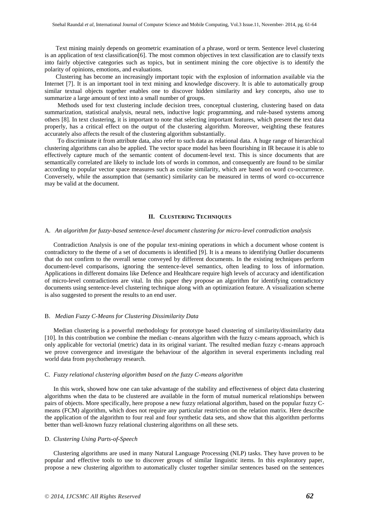Text mining mainly depends on geometric examination of a phrase, word or term. Sentence level clustering is an application of text classification[6]. The most common objectives in text classification are to classify texts into fairly objective categories such as topics, but in sentiment mining the core objective is to identify the polarity of opinions, emotions, and evaluations.

Clustering has become an increasingly important topic with the explosion of information available via the Internet [7]. It is an important tool in text mining and knowledge discovery. It is able to automatically group similar textual objects together enables one to discover hidden similarity and key concepts, also use to summarize a large amount of text into a small number of groups.

 Methods used for text clustering include decision trees, conceptual clustering, clustering based on data summarization, statistical analysis, neural nets, inductive logic programming, and rule-based systems among others [8]. In text clustering, it is important to note that selecting important features, which present the text data properly, has a critical effect on the output of the clustering algorithm. Moreover, weighting these features accurately also affects the result of the clustering algorithm substantially.

 To discriminate it from attribute data, also refer to such data as relational data. A huge range of hierarchical clustering algorithms can also be applied. The vector space model has been flourishing in IR because it is able to effectively capture much of the semantic content of document-level text. This is since documents that are semantically correlated are likely to include lots of words in common, and consequently are found to be similar according to popular vector space measures such as cosine similarity, which are based on word co-occurrence. Conversely, while the assumption that (semantic) similarity can be measured in terms of word co-occurrence may be valid at the document.

# **II. CLUSTERING TECHNIQUES**

#### A. *An algorithm for fuzzy-based sentence-level document clustering for micro-level contradiction analysis*

Contradiction Analysis is one of the popular text-mining operations in which a document whose content is contradictory to the theme of a set of documents is identified [9]. It is a means to identifying Outlier documents that do not confirm to the overall sense conveyed by different documents. In the existing techniques perform document-level comparisons, ignoring the sentence-level semantics, often leading to loss of information. Applications in different domains like Defence and Healthcare require high levels of accuracy and identification of micro-level contradictions are vital. In this paper they propose an algorithm for identifying contradictory documents using sentence-level clustering technique along with an optimization feature. A visualization scheme is also suggested to present the results to an end user.

## B. *Median Fuzzy C-Means for Clustering Dissimilarity Data*

Median clustering is a powerful methodology for prototype based clustering of similarity/dissimilarity data [10]. In this contribution we combine the median c-means algorithm with the fuzzy c-means approach, which is only applicable for vectorial (metric) data in its original variant. The resulted median fuzzy c-means approach we prove convergence and investigate the behaviour of the algorithm in several experiments including real world data from psychotherapy research.

## C. *Fuzzy relational clustering algorithm based on the fuzzy C-means algorithm*

In this work, showed how one can take advantage of the stability and effectiveness of object data clustering algorithms when the data to be clustered are available in the form of mutual numerical relationships between pairs of objects. More specifically, here propose a new fuzzy relational algorithm, based on the popular fuzzy Cmeans (FCM) algorithm, which does not require any particular restriction on the relation matrix. Here describe the application of the algorithm to four real and four synthetic data sets, and show that this algorithm performs better than well-known fuzzy relational clustering algorithms on all these sets.

# D. *Clustering Using Parts-of-Speech*

Clustering algorithms are used in many Natural Language Processing (NLP) tasks. They have proven to be popular and effective tools to use to discover groups of similar linguistic items. In this exploratory paper, propose a new clustering algorithm to automatically cluster together similar sentences based on the sentences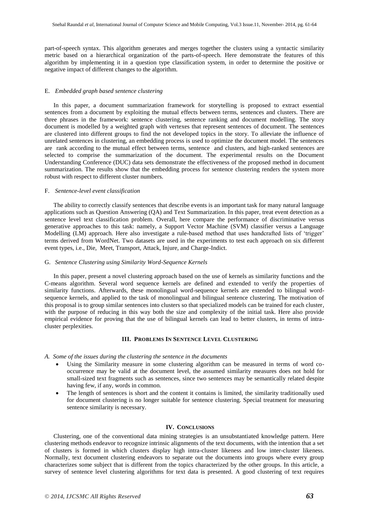part-of-speech syntax. This algorithm generates and merges together the clusters using a syntactic similarity metric based on a hierarchical organization of the parts-of-speech. Here demonstrate the features of this algorithm by implementing it in a question type classification system, in order to determine the positive or negative impact of different changes to the algorithm.

# E. *Embedded graph based sentence clustering*

In this paper, a document summarization framework for storytelling is proposed to extract essential sentences from a document by exploiting the mutual effects between terms, sentences and clusters. There are three phrases in the framework: sentence clustering, sentence ranking and document modelling. The story document is modelled by a weighted graph with vertexes that represent sentences of document. The sentences are clustered into different groups to find the not developed topics in the story. To alleviate the influence of unrelated sentences in clustering, an embedding process is used to optimize the document model. The sentences are rank according to the mutual effect between terms, sentence and clusters, and high-ranked sentences are selected to comprise the summarization of the document. The experimental results on the Document Understanding Conference (DUC) data sets demonstrate the effectiveness of the proposed method in document summarization. The results show that the embedding process for sentence clustering renders the system more robust with respect to different cluster numbers.

## F. *Sentence-level event classification*

The ability to correctly classify sentences that describe events is an important task for many natural language applications such as Question Answering (QA) and Text Summarization. In this paper, treat event detection as a sentence level text classification problem. Overall, here compare the performance of discriminative versus generative approaches to this task: namely, a Support Vector Machine (SVM) classifier versus a Language Modelling (LM) approach. Here also investigate a rule-based method that uses handcrafted lists of 'trigger' terms derived from WordNet. Two datasets are used in the experiments to test each approach on six different event types, i.e., Die, Meet, Transport, Attack, Injure, and Charge-Indict.

# G. *Sentence Clustering using Similarity Word-Sequence Kernels*

In this paper, present a novel clustering approach based on the use of kernels as similarity functions and the C-means algorithm. Several word sequence kernels are defined and extended to verify the properties of similarity functions. Afterwards, these monolingual word-sequence kernels are extended to bilingual wordsequence kernels, and applied to the task of monolingual and bilingual sentence clustering. The motivation of this proposal is to group similar sentences into clusters so that specialized models can be trained for each cluster, with the purpose of reducing in this way both the size and complexity of the initial task. Here also provide empirical evidence for proving that the use of bilingual kernels can lead to better clusters, in terms of intracluster perplexities.

# **III. PROBLEMS IN SENTENCE LEVEL CLUSTERING**

#### *A. Some of the issues during the clustering the sentence in the documents*

- Using the Similarity measure in some clustering algorithm can be measured in terms of word cooccurrence may be valid at the document level, the assumed similarity measures does not hold for small-sized text fragments such as sentences, since two sentences may be semantically related despite having few, if any, words in common.
- The length of sentences is short and the content it contains is limited, the similarity traditionally used for document clustering is no longer suitable for sentence clustering. Special treatment for measuring sentence similarity is necessary.

#### **IV. CONCLUSIONS**

Clustering, one of the conventional data mining strategies is an unsubstantiated knowledge pattern. Here clustering methods endeavor to recognize intrinsic alignments of the text documents, with the intention that a set of clusters is formed in which clusters display high intra-cluster likeness and low inter-cluster likeness. Normally, text document clustering endeavors to separate out the documents into groups where every group characterizes some subject that is different from the topics characterized by the other groups. In this article, a survey of sentence level clustering algorithms for text data is presented. A good clustering of text requires